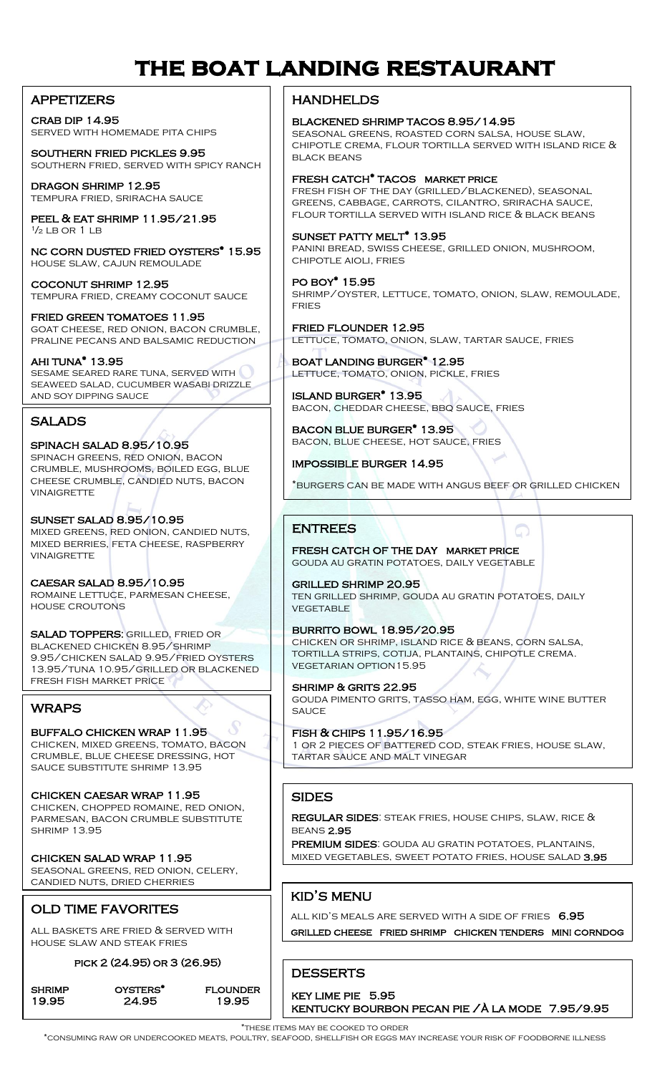# **the boat landing restaurant**

#### **APPETIZERS**

crab dip 14.95 served with homemade pita chips

southern fried pickles 9.95 southern fried, served with spicy ranch

dragon shrimp 12.95 tempura fried, sriracha sauce

peel & eat shrimp 11.95/21.95  $\frac{1}{2}$  i B OR 1 i B

nc corn dusted fried oysters\* 15.95 house slaw, cajun remoulade

COCONUT SHRIMP 12.95 tempura fried, creamy coconut sauce

fried green tomatoes 11.95 goat cheese, red onion, bacon crumble, praline pecans and balsamic reduction

ahi tuna\* 13.95 sesame seared rare tuna, served with seaweed salad, cucumber wasabi drizzle and soy dipping sauce

### **SALADS**

 spinach salad 8.95/10.95 cheese crumble, candied nuts, bacon spinach greens, red onion, bacon crumble, mushrooms, boiled egg, blue **VINAIGRETTE** 

 sunset salad 8.95/10.95 mixed bries, red britan, britanshed richts<br>MIXED BERRIES, FETA CHEESE, RASPBERRY mixed greens, red onion, candied nuts, **VINAIGRETTE** 

ROMAINE LETTUCE, PARMESAN CHEESE, caesar salad 8.95/10.95 house croutons

salad toppers: grilled, fried or blackened chicken 8.95/shrimp 9.95/chicken salad 9.95/fried oysters 13.95/tuna 10.95/grilled or blackened fresh fish market price

### **WRAPS**

 buffalo chicken wrap 11.95 crumble, blue cheese dressing, hot chicken, mixed greens, tomato, bacon sauce substitute shrimp 13.95

 chicken caesar wrap 11.95 **PARMESAN, BACON CRUMBLE SUBSTITUTE** chicken, chopped romaine, red onion, **SHRIMP 13.95** 

 seasonal greens, red onion, celery, chicken salad wrap 11.95 candied nuts, dried cherries

### old time favorites

ALL BASKETS ARE FRIED  $\&$  SERVED WITH house slaw and steak fries

#### pick 2 (24.95) or 3 (26.95)

**SHRIMP** 

OYSTERS<sup>\*</sup> FLOUNDER 19.95 24.95 19.95

**HANDHELDS** 

blackened shrimp tacos 8.95/14.95 seasonal greens, roasted corn salsa, house slaw, chipotle crema, flour tortilla served with island rice & black beans

fresh catch\* tacos market price

fresh fish of the day (grilled/blackened), seasonal greens, cabbage, carrots, cilantro, sriracha sauce, flour tortilla served with island rice & black beans

#### SUNSET PATTY MELT\* 13.95

panini bread, swiss cheese, grilled onion, mushroom, chipotle aioli, fries

po boy\* 15.95 shrimp/oyster, lettuce, tomato, onion, slaw, remoulade, **FRIES** 

fried flounder 12.95 lettuce, tomato, onion, slaw, tartar sauce, fries

boat landing burger\* 12.95 lettuce, tomato, onion, pickle, fries

island burger\* 13.95 bacon, cheddar cheese, bbq sauce, fries

bacon blue burger\* 13.95 bacon, blue cheese, hot sauce, fries

impossible burger 14.95

\*burgers can be made with angus beef or grilled chicken

### entrees

fresh catch of the day market price gouda au gratin potatoes, daily vegetable

grilled shrimp 20.95 ten grilled shrimp, gouda au gratin potatoes, daily **VEGETABLE** 

burrito bowl 18.95/20.95 chicken or shrimp, island rice & beans, corn salsa, tortilla strips, cotija, plantains, chipotle crema. vegetarian option15.95

shrimp & grits 22.95 gouda pimento grits, tasso ham, egg, white wine butter **SAUCE** 

fish & chips 11.95/16.95 1 or 2 pieces of battered cod, steak fries, house slaw, tartar sauce and malt vinegar  $\overline{a}$ 

#### **SIDES**

j

regular sides: steak fries, house chips, slaw, rice & beans 2.95

**PREMIUM SIDES:** GOUDA AU GRATIN POTATOES, PLANTAINS, ֧֖֖֖֚֚֚֞֝֬ mixed vegetables, sweet potato fries, house salad 3.95 ֖֚֚֚֬

### kid's menu

 grilled cheese fried shrimp chicken tenders mini corndog ALL KID'S MEALS ARE SERVED WITH A SIDE OF FRIES 6.95

 $\overline{a}$ **DESSERTS** 

key lime pie 5.95 kentucky bourbon pecan pie /À la mode 7.95/9.95

\*these items may be cooked to order \*consuming raw or undercooked meats, poultry, seafood, shellfish or eggs may increase your risk of foodborne illness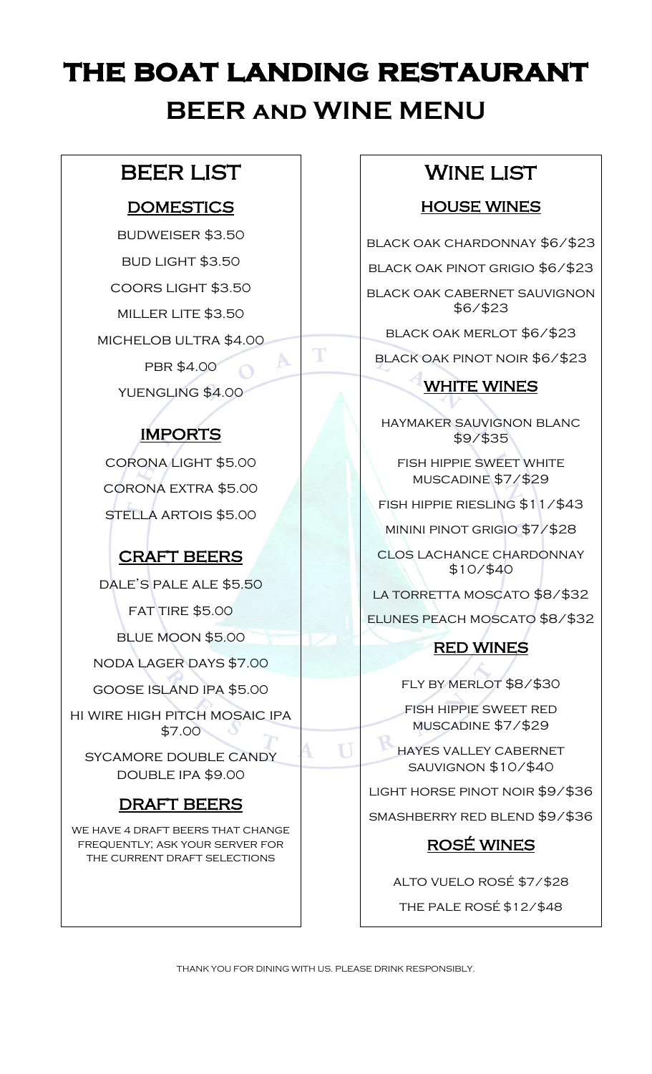# **the boat landing restaurant BEER and WINE MENU**

 $\top$ 

 $\Delta$ 

# beer list

# **DOMESTICS**

budweiser \$3.50 bud light \$3.50 coors light \$3.50 miller lite \$3.50 michelob ultra \$4.00 PBR \$4.00

# yuengling \$4.00

# **IMPORTS**

corona light \$5.00 corona extra \$5.00 stella artois \$5.00

# craft beers

dale's pale ale \$5.50 fat tire \$5.00 blue moon \$5.00 noda lager days \$7.00

goose island ipa \$5.00

hi wire high pitch mosaic ipa

\$7.00 sycamore double candy

double ipa \$9.00

## DRAFT BEERS

WE HAVE 4 DRAFT BEERS THAT CHANGE frequently; ask your server for the current draft selections

# **WINE LIST**

### **HOUSE WINES**

black oak chardonnay \$6/\$23

black oak pinot grigio \$6/\$23

black oak cabernet sauvignon \$6/\$23

black oak merlot \$6/\$23

black oak pinot noir \$6/\$23

## WHITE WINES

haymaker sauvignon blanc \$9/\$35

fish hippie sweet white muscadine \$7/\$29

fish hippie riesling \$11/\$43

minini pinot grigio \$7/\$28

clos lachance chardonnay \$10/\$40

LA TORRETTA MOSCATO \$8/\$32

elunes peach moscato \$8/\$32

### red wines

fly by merlot \$8/\$30

fish hippie sweet red muscadine \$7/\$29

hayes valley cabernet sauvignon \$10/\$40

light horse pinot noir \$9/\$36

smashberry red blend \$9/\$36

## rosÉ wines

alto vuelo rosé \$7/\$28 the pale rosé \$12/\$48

THANK YOU FOR DINING WITH US. PLEASE DRINK RESPONSIBLY.

U